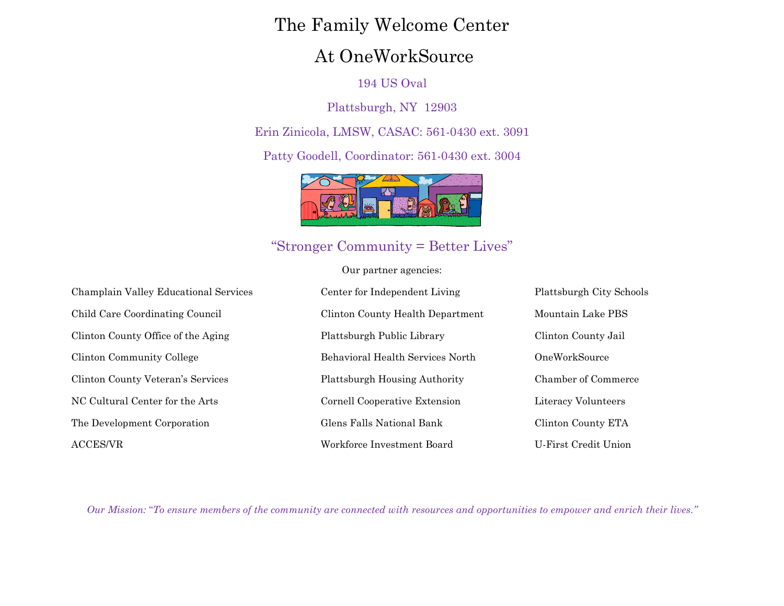# The Family Welcome Center

# At OneWorkSource

## 194 US Oval

Plattsburgh, NY 12903

Erin Zinicola, LMSW, CASAC: 561-0430 ext. 3091

Patty Goodell, Coordinator: 561-0430 ext. 3004



## "Stronger Community = Better Lives"

Our partner agencies:

| Champlain Valley Educational Services | Center for Independent Living        | Plattsburgh City Schools   |
|---------------------------------------|--------------------------------------|----------------------------|
| Child Care Coordinating Council       | Clinton County Health Department     | Mountain Lake PBS          |
| Clinton County Office of the Aging    | Plattsburgh Public Library           | Clinton County Jail        |
| Clinton Community College             | Behavioral Health Services North     | OneWorkSource              |
| Clinton County Veteran's Services     | <b>Plattsburgh Housing Authority</b> | <b>Chamber of Commerce</b> |
| NC Cultural Center for the Arts       | Cornell Cooperative Extension        | Literacy Volunteers        |
| The Development Corporation           | Glens Falls National Bank            | Clinton County ETA         |
| $\operatorname{ACCES/VR}$             | Workforce Investment Board           | U-First Credit Union       |

*Our Mission:* "*To ensure members of the community are connected with resources and opportunities to empower and enrich their lives."*